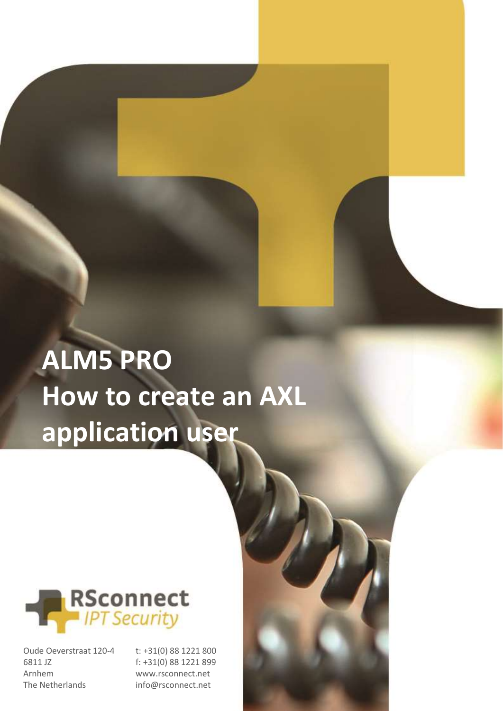# **ALM5 PRO How to create an AXL application user**



Oude Oeverstraat 120-4 6811 JZ Arnhem The Netherlands

t: +31(0) 88 1221 800 f: +31(0) 88 1221 899 www.rsconnect.net

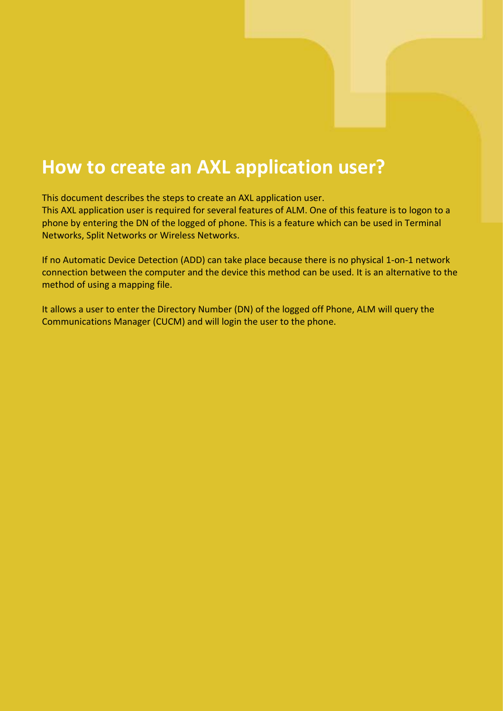### **How to create an AXL application user?**

This document describes the steps to create an AXL application user.

This AXL application user is required for several features of ALM. One of this feature is to logon to a phone by entering the DN of the logged of phone. This is a feature which can be used in Terminal Networks, Split Networks or Wireless Networks.

If no Automatic Device Detection (ADD) can take place because there is no physical 1-on-1 network connection between the computer and the device this method can be used. It is an alternative to the method of using a mapping file.

It allows a user to enter the Directory Number (DN) of the logged off Phone, ALM will query the Communications Manager (CUCM) and will login the user to the phone.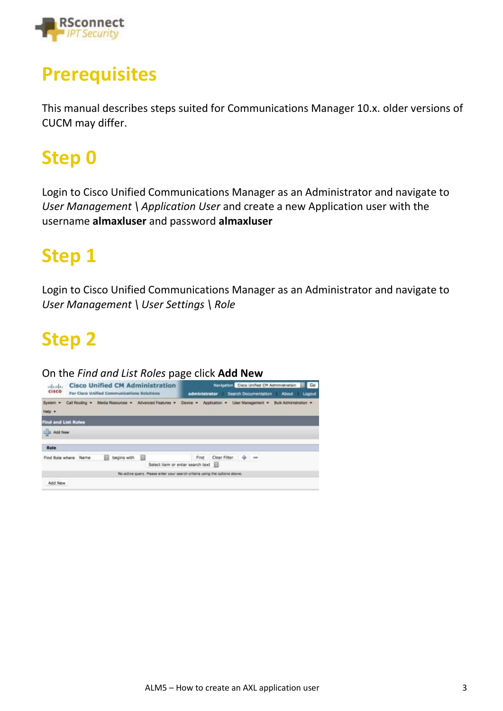

### **Prerequisites**

This manual describes steps suited for Communications Manager 10.x. older versions of CUCM may differ.

### **Step 0**

Login to Cisco Unified Communications Manager as an Administrator and navigate to *User Management \ Application User* and create a new Application user with the username **almaxluser** and password **almaxluser**

### **Step 1**

Login to Cisco Unified Communications Manager as an Administrator and navigate to *User Management \ User Settings \ Role*

### **Step 2**

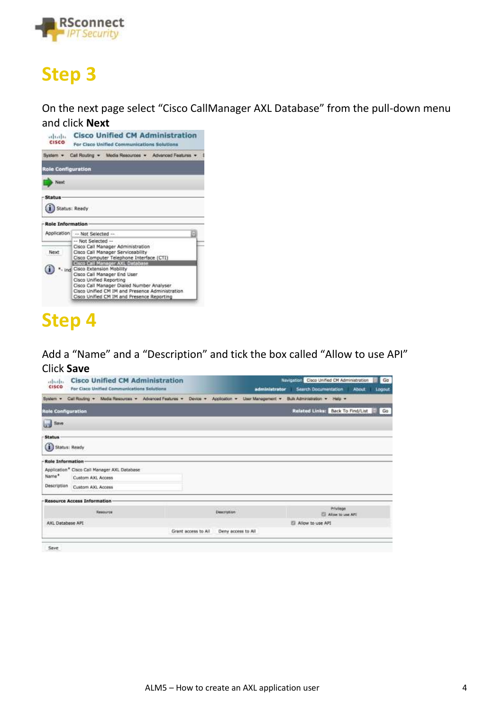

On the next page select "Cisco CallManager AXL Database" from the pull-down menu



### **Step 4**

Add a "Name" and a "Description" and tick the box called "Allow to use API" Click **Save**

| admilo.                   | <b>Cisco Unified CM Administration</b>                                                                                     |                     |                    | <b>Ell</b> Ga<br>Navigation Cisco Unified CM Administration |
|---------------------------|----------------------------------------------------------------------------------------------------------------------------|---------------------|--------------------|-------------------------------------------------------------|
| <b>CISCO</b>              | <b>Por Cisco Unified Communications Solutions</b>                                                                          |                     | administrator      | Search Documentation<br>Lagout<br><b>About</b>              |
| System -                  | Call Routing + Media Resources + Advanced Features + Device + Application + User Management + Buik Administration + Help + |                     |                    |                                                             |
| <b>Role Configuration</b> |                                                                                                                            |                     |                    | Related Links: Back To Find/List<br>Go                      |
| Save                      |                                                                                                                            |                     |                    |                                                             |
| <b>Status</b>             |                                                                                                                            |                     |                    |                                                             |
| <b>G</b><br>Status: Ready |                                                                                                                            |                     |                    |                                                             |
| Role Information          |                                                                                                                            |                     |                    |                                                             |
|                           | Application * Cisco Call Manager AXL Database                                                                              |                     |                    |                                                             |
| Name*                     | Custom AXL Access                                                                                                          |                     |                    |                                                             |
| Description               | Custom AXL Access                                                                                                          |                     |                    |                                                             |
|                           | -Resource Access Information                                                                                               |                     |                    |                                                             |
|                           | Resource                                                                                                                   |                     | <b>Description</b> | Privilege<br>Alow to use API                                |
| AXL Database API          |                                                                                                                            |                     |                    | Allow to use API                                            |
|                           |                                                                                                                            | Grant access to All | Deny access to All |                                                             |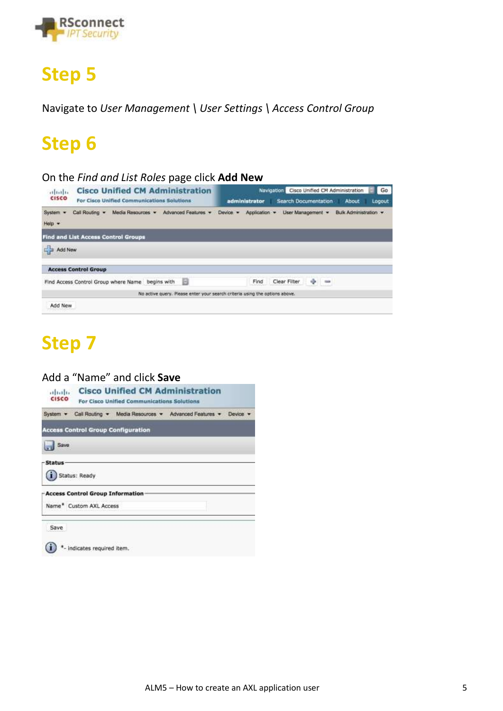

Navigate to *User Management \ User Settings \ Access Control Group*

### **Step 6**

#### On the *Find and List Roles* page click **Add New**

| <b>Cisco Unified CM Administration</b><br>aluth.<br><b>CISCO</b><br>For Cisco Unified Communications Solutions | Go<br>Cisco Unified CM Administration<br><b>Navigation</b><br>About<br>Search Documentation<br>administrator<br>Logout |
|----------------------------------------------------------------------------------------------------------------|------------------------------------------------------------------------------------------------------------------------|
| Advanced Features<br>System =<br>Call Routing<br>Media Resources<br>Help +                                     | Application ·<br>User Management *<br>Bulk Administration -<br>Device -                                                |
| <b>Find and List Access Control Groups</b>                                                                     |                                                                                                                        |
| Add New                                                                                                        |                                                                                                                        |
| <b>Access Control Group</b>                                                                                    |                                                                                                                        |
| Find Access Control Group where Name begins with                                                               | $+ -$<br>Clear Filter<br>Find                                                                                          |
|                                                                                                                | No active query. Please enter your search criteria using the options above.                                            |
| Add New                                                                                                        |                                                                                                                        |

### **Step 7**

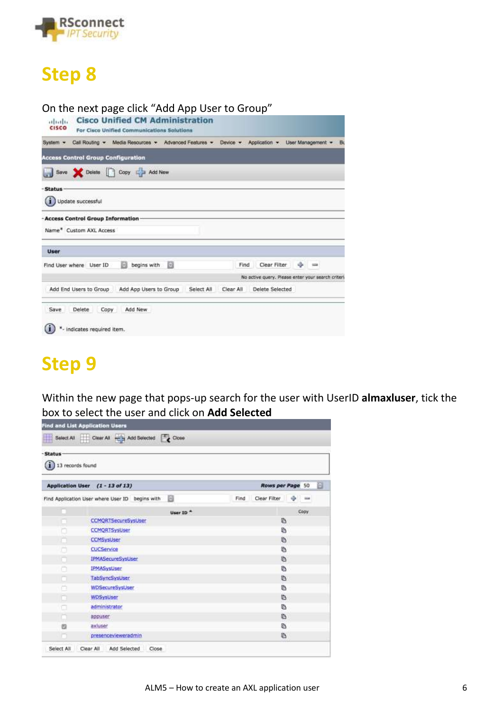

### On the next page click "Add App User to Group"

| ababa<br><b>CISCO</b> | <b>Cisco Unified CM Administration</b><br>For Cisco Unified Communications Solutions             |                                                    |
|-----------------------|--------------------------------------------------------------------------------------------------|----------------------------------------------------|
| System -              | Call Routing · Media Resources · Advanced Features · Device · Application · User Management · Bu |                                                    |
|                       | <b>Access Control Group Configuration</b>                                                        |                                                    |
|                       | Save Colete Copy C Add New                                                                       |                                                    |
| - Status              | Update successful                                                                                |                                                    |
|                       | - Access Control Group Information<br>Name* Custom AXL Access                                    |                                                    |
| <b>User</b>           |                                                                                                  |                                                    |
|                       | в<br>begins with<br>Find User where User ID<br>ю                                                 | Clear Filter = = ==<br>Find                        |
|                       |                                                                                                  | No active query. Please enter your search criteri- |
|                       | Add End Users to Group<br>Add App Users to Group<br>Select All                                   | Delete Selected<br>Clear All                       |
| Save                  | Add New<br>Delete<br>Copy<br>- indicates required item.                                          |                                                    |

### **Step 9**

Within the new page that pops-up search for the user with UserID **almaxluser**, tick the box to select the user and click on **Add Selected**

|                  | Select All Clear All - Add Selected Close            |      |                      |   |             |   |  |  |
|------------------|------------------------------------------------------|------|----------------------|---|-------------|---|--|--|
| -Status          |                                                      |      |                      |   |             |   |  |  |
| 13 records found |                                                      |      |                      |   |             |   |  |  |
|                  | Application User (1 - 13 of 13)                      |      | <b>Rows per Page</b> |   | 50          | Ð |  |  |
|                  | B<br>Find Application User where User ID begins with | Find | Clear Filter         | ÷ | <b>High</b> |   |  |  |
|                  |                                                      |      |                      |   |             |   |  |  |
|                  | User ID."                                            |      |                      |   | Copy        |   |  |  |
|                  | <b>CCMQRTSecureSysUser</b>                           |      | 呕                    |   |             |   |  |  |
|                  | <b>CCMORTSysUser</b>                                 |      | Ø.                   |   |             |   |  |  |
|                  | <b>CCMSysUser</b>                                    |      | Ø                    |   |             |   |  |  |
| o                | CUCService                                           |      | Ø.                   |   |             |   |  |  |
|                  | IPMASecureSysUser                                    |      | Ø.                   |   |             |   |  |  |
| ℮                | IPMASysUser                                          |      | Ф                    |   |             |   |  |  |
| n                | <b>TabSyncSysUser</b>                                |      | 脑                    |   |             |   |  |  |
| n                | WDSecureSysUser                                      |      | G                    |   |             |   |  |  |
| n                | WDSysLiser                                           |      | ïb.                  |   |             |   |  |  |
| o                | administrator                                        |      | ß                    |   |             |   |  |  |
| n                | appuser                                              |      | G                    |   |             |   |  |  |
| e                | axluser                                              |      | Ø                    |   |             |   |  |  |
|                  | presencevieweradmin                                  |      | Ø                    |   |             |   |  |  |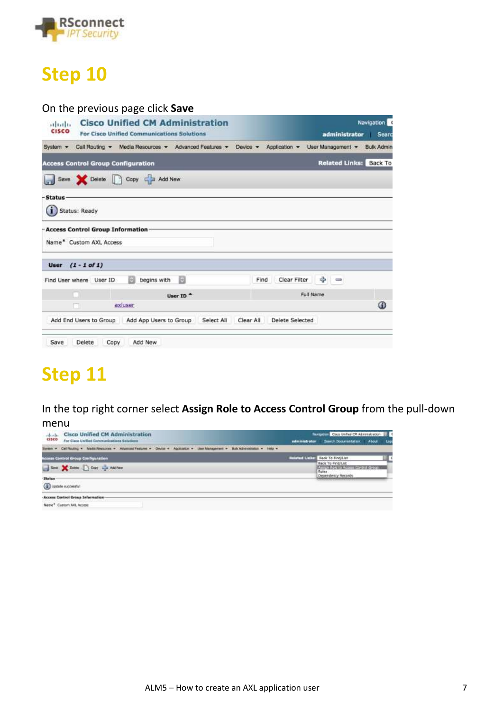

#### On the previous page click **Save**

| or to the<br><b>CISCO</b>     | <b>Cisco Unified CM Administration</b><br>For Cisco Unified Communications Solutions | administrator                         | Navigation<br>Searc |
|-------------------------------|--------------------------------------------------------------------------------------|---------------------------------------|---------------------|
| System $+$                    | Call Routing - Media Resources - Advanced Features - Device -                        | Application -<br>User Management      | <b>Bulk Admin</b>   |
|                               | <b>Access Control Group Configuration</b>                                            | Related Links: Back To                |                     |
|                               | Save Celete Copy Can Add New                                                         |                                       |                     |
| -Status-<br>(i) Status: Ready |                                                                                      |                                       |                     |
|                               | -Access Control Group Information-<br>Name* Custom AXL Access                        |                                       |                     |
|                               | User $(1 - 1$ of 1)                                                                  |                                       |                     |
|                               | 回<br>begins with<br>Find User where User ID<br>同                                     | $\Rightarrow$<br>Clear Filter<br>Find |                     |
|                               | User ID <sup>A</sup>                                                                 | Full Name                             |                     |
|                               | axiuser<br>n                                                                         |                                       | ⊕                   |
|                               | Add End Users to Group<br>Add App Users to Group<br>Select All                       | Clear All<br>Delete Selected          |                     |
| Save                          | Delete<br>Add New<br>Copy                                                            |                                       |                     |

### **Step 11**

In the top right corner select **Assign Role to Access Control Group** from the pull-down

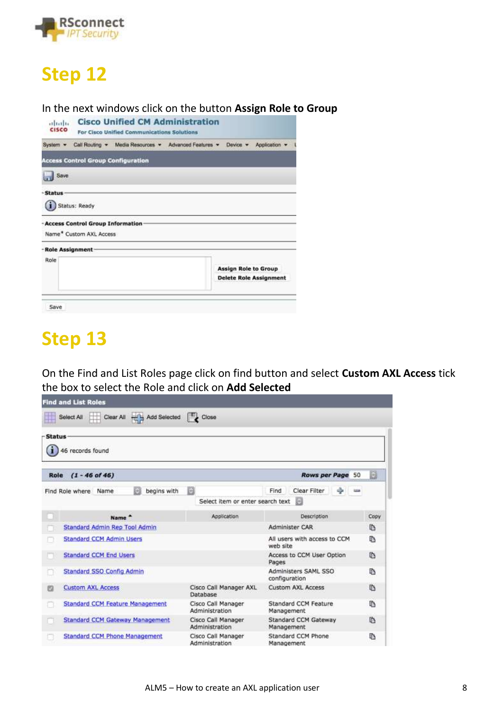

#### In the next windows click on the button **Assign Role to Group**

| altaba<br><b>CISCO</b> |                                                               | <b>Cisco Unified CM Administration</b><br>For Cisco Unified Communications Solutions |                             |                               |
|------------------------|---------------------------------------------------------------|--------------------------------------------------------------------------------------|-----------------------------|-------------------------------|
| System *               |                                                               | Call Routing · Media Resources · Advanced Features ·                                 | Device -                    | Application                   |
|                        | <b>Access Control Group Configuration</b>                     |                                                                                      |                             |                               |
| Save                   |                                                               |                                                                                      |                             |                               |
| -Status                | Status: Ready                                                 |                                                                                      |                             |                               |
|                        | - Access Control Group Information<br>Name* Custom AXL Access |                                                                                      |                             |                               |
| - Role Assignment-     |                                                               |                                                                                      |                             |                               |
| Role                   |                                                               |                                                                                      | <b>Assign Role to Group</b> | <b>Delete Role Assignment</b> |
| Save                   |                                                               |                                                                                      |                             |                               |

### **Step 13**

On the Find and List Roles page click on find button and select **Custom AXL Access** tick the box to select the Role and click on **Add Selected**

| <b>Find and List Roles</b>             |                                      |                                          |      |
|----------------------------------------|--------------------------------------|------------------------------------------|------|
| Clear All - Add Selected<br>Select All | $\Box$ Close                         |                                          |      |
| - Status-<br>46 records found          |                                      |                                          |      |
| $(1 - 46$ of 46)<br>Role               |                                      | <b>Rows per Page</b><br>50               | B    |
| begins with<br>Find Role where Name    | B                                    | Clear Filter<br>÷<br>Find                |      |
|                                        | Select item or enter search text     | 89                                       |      |
| Name <sup>+</sup>                      | Application                          | Description                              | Copy |
| Standard Admin Rep Tool Admin          |                                      | Administer CAR                           | 脑    |
| <b>Standard CCM Admin Users</b>        |                                      | All users with access to CCM<br>web site | D    |
| <b>Standard CCM End Users</b>          |                                      | Access to CCM User Option<br>Pages       | G    |
| Standard SSO Config Admin              |                                      | Administers SAML SSO<br>configuration    | ħ    |
| <b>Custom AXL Access</b><br>図          | Cisco Call Manager AXL<br>Database   | <b>Custom AXL Access</b>                 | ħ    |
| <b>Standard CCM Feature Management</b> | Cisco Call Manager<br>Administration | Standard CCM Feature<br>Management       | D.   |
| <b>Standard CCM Gateway Management</b> | Cisco Call Manager<br>Administration | Standard CCM Gateway<br>Management       | 临    |
| <b>Standard CCM Phone Management</b>   | Cisco Call Manager<br>Administration | Standard CCM Phone<br>Management         | в    |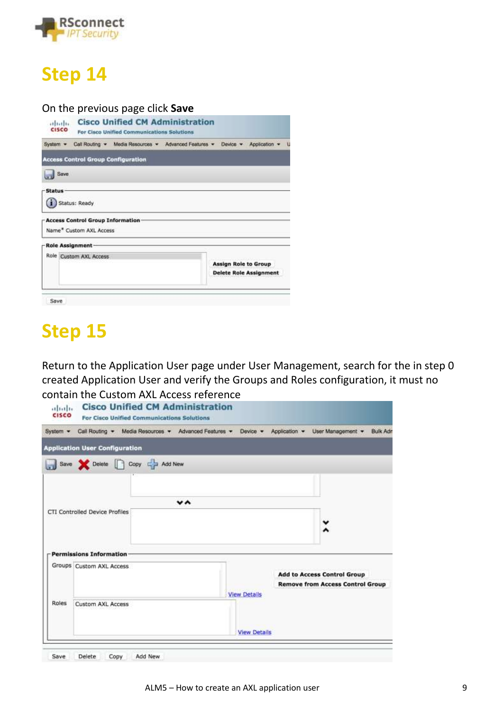

#### On the previous page click **Save**

| otherly.<br>CISCO |                                                                                | <b>Cisco Unified CM Administration</b><br>For Cisco Unified Communications Solutions |  |  |          |                                                       |  |
|-------------------|--------------------------------------------------------------------------------|--------------------------------------------------------------------------------------|--|--|----------|-------------------------------------------------------|--|
|                   |                                                                                | System . Call Routing . Media Resources . Advanced Features .                        |  |  | Davice v | Application .                                         |  |
|                   | <b>Access Control Group Configuration</b>                                      |                                                                                      |  |  |          |                                                       |  |
| Save              |                                                                                |                                                                                      |  |  |          |                                                       |  |
| -Status           | Status: Ready<br>- Access Control Group Information<br>Name* Custom AXL Access |                                                                                      |  |  |          |                                                       |  |
| -Role Assignment- |                                                                                |                                                                                      |  |  |          |                                                       |  |
|                   | Role Custom AXL Access                                                         |                                                                                      |  |  |          | Assign Role to Group<br><b>Delete Role Assignment</b> |  |
| Save              |                                                                                |                                                                                      |  |  |          |                                                       |  |

### **Step 15**

Return to the Application User page under User Management, search for the in step 0 created Application User and verify the Groups and Roles configuration, it must no contain the Custom AXL Access reference

|                          |                                                     |                                       | Device -                                                                         | Application -                                                                                  | User Management +<br><b>Bulk Adr</b>    |
|--------------------------|-----------------------------------------------------|---------------------------------------|----------------------------------------------------------------------------------|------------------------------------------------------------------------------------------------|-----------------------------------------|
|                          |                                                     |                                       |                                                                                  |                                                                                                |                                         |
|                          |                                                     |                                       |                                                                                  |                                                                                                |                                         |
|                          |                                                     |                                       |                                                                                  |                                                                                                |                                         |
|                          |                                                     | v^                                    |                                                                                  |                                                                                                |                                         |
|                          |                                                     |                                       |                                                                                  |                                                                                                |                                         |
|                          |                                                     |                                       |                                                                                  |                                                                                                |                                         |
| Permissions Information  |                                                     |                                       |                                                                                  |                                                                                                |                                         |
| Groups Custom AXL Access |                                                     |                                       |                                                                                  |                                                                                                |                                         |
|                          |                                                     |                                       |                                                                                  |                                                                                                | <b>Remove from Access Control Group</b> |
|                          |                                                     |                                       | <b>View Details</b>                                                              |                                                                                                |                                         |
|                          |                                                     |                                       |                                                                                  |                                                                                                |                                         |
|                          |                                                     |                                       | <b>View Details</b>                                                              |                                                                                                |                                         |
|                          | CTI Controlled Device Profiles<br>Custom AXL Access | <b>Application User Configuration</b> | <b>For Cisco Unified Communications Solutions</b><br>Save Delete Copy Ca Add New | <b>Cisco Unified CM Administration</b><br>Call Routing + Media Resources + Advanced Features + | <b>Add to Access Control Group</b>      |

Save Delete Copy Add New